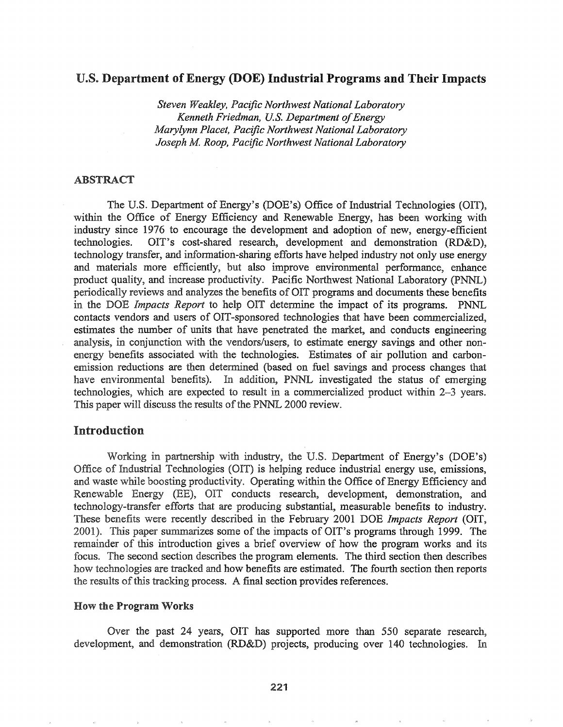# U.S. Department of Energy (DOE) Industrial Programs and Their Impacts

*Steven Weakley, Pacific Northwest National Laboratory Kenneth Friedman, U.S. Department of Energy Marylynn Placet, Pacific Northwest National Laboratory Joseph M Roop, Pacific Northwest National Laboratory*

#### ABSTRACT

The U.S. Department of Energy's (DOE's) Office of Industrial Technologies (OIT), within the Office of Energy Efficiency and Renewable Energy, has been working with industry since 1976 to encourage the development and adoption of new, energy-efficient technologies. OIT's cost-shared research, development and demonstration (RD&D), technology transfer, and information-sharing efforts have helped industry not only use energy and materials more efficiently, but also improve environmental performance, enhance product quality, and increase productivity. Pacific Northwest National Laboratory (PNNL) periodically reviews and analyzes the benefits of OIT programs and documents these benefits the *Impacts Report* to help OIT determine the impact of its programs. PNNL contacts vendors and users of OIT-sponsored technologies that have been commercialized, estimates the number of units that have penetrated the market, and conducts engineering analysis, in conjunction with the vendors/users, to estimate energy savings and other nonenergy benefits associated with the technologies. Estimates of air pollution and carbonemission reductions are then determined (based on fuel savings and process changes that have environmental benefits). In addition, PNNL investigated the status of emerging technologies, which are expected to result in a commercialized product within 2–3 years. This paper will discuss the results of the PNNL 2000 review.

# Introduction

Working in partnership with industry, the U.S. Department of Energy's (DOE's) Office of Industrial Technologies (OIT) is helping reduce industrial energy use, emissions, and waste while boosting productivity. Operating within the Office of Energy Efficiency and Renewable Energy (EE), OIT conducts research, development, demonstration, and technology-transfer efforts that are producing substantial, measurable benefits to industry. These benefits were recently described in the February 2001 DOE *Impacts Report* (OIT, 2001). This paper summarizes some of the impacts of OIT's programs through 1999. The remainder of this introduction gives a brief overview of how the program works and its focus. The second section describes the program elements. The third section then describes how technologies are tracked and how benefits are estimated. The fourth section then reports the results of this tracking process. A final section provides references.

### **How the Program Works**

Over the past 24 years, OIT has supported more than 550 separate research, development, and demonstration (RD&D) projects, producing over 140 technologies. In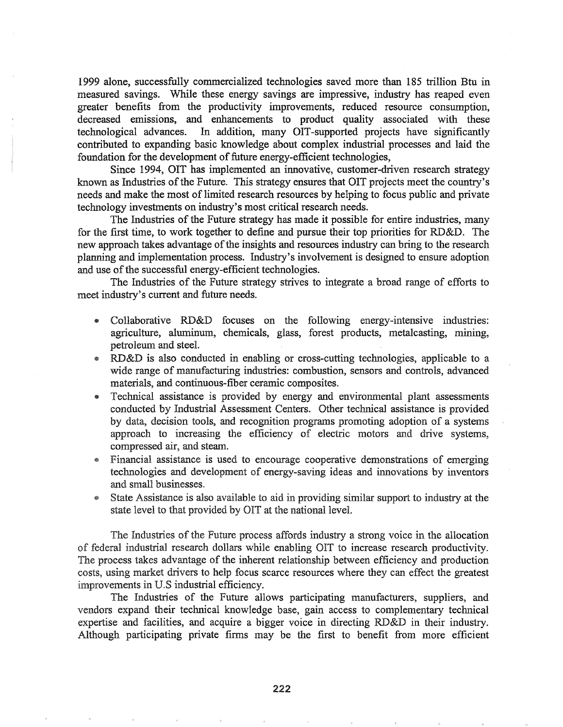1999 alone, successfully commercialized technologies saved more than 185 trillion Btu in measured savings. While these energy savings are impressive, industry has reaped even greater benefits from the productivity improvements, reduced resource consumption, decreased emissions, and enhancements to product quality associated with these technological advances. In addition, many OIT-supported projects have significantly contributed to expanding basic knowledge about complex industrial processes and laid the foundation for the development of future energy-efficient technologies,

Since 1994, OIT has implemented an innovative, customer-driven research strategy known as Industries of the Future. This strategy ensures that OIT projects meet the country's needs and make the most of limited research resources by helping to focus public and private technology investments on industry's most critical research needs.

The Industries of the Future strategy has made it possible for entire industries, many for the frrst time, to work together to define and pursue their top priorities for RD&D. The new approach takes advantage of the insights and resources industry can bring to the research planning and implementation process. Industry's involvement is designed to ensure adoption and use of the successful energy-efficient technologies.

The Industries of the Future strategy strives to integrate a broad range of efforts to meet industry's current and future needs..

- Collaborative RD&D focuses on the following energy-intensive industries: agriculture, aluminum, chemicals, glass, forest products, metalcasting, mining, petroleum and steel.
- RD&D is also conducted in enabling or cross-cutting technologies, applicable to a wide range of manufacturing industries: combustion, sensors and controls, advanced materials, and continuous-fiber ceramic composites..
- @ Technical assistance is provided by energy and environmental plant assessments conducted by Industrial Assessment Centers. Other technical assistance is provided by data, decision tools, and recognition programs promoting adoption of a systems approach to increasing the efficiency of electric motors and drive systems, compressed air, and steam..
- \$ Financial assistance is used to encourage cooperative demonstrations of emerging technologies and development of energy-saving ideas and innovations by inventors and small businesses.
- State Assistance is also available to aid in providing similar support to industry at the state level to that provided by OIT at the national level.

The Industries of the Future process affords industry a strong voice in the allocation of federal industrial research dollars while enabling OIT to increase research productivity. The process takes advantage of the inherent relationship between efficiency and production costs, using market drivers to help focus scarce resources where they can effect the greatest improvements in U.S industrial efficiency.

The Industries of the Future allows participating manufacturers, suppliers, and vendors expand their technical knowledge base, gain access to complementary technical expertise and facilities, and acquire a bigger voice in directing RD&D in their industry. Although participating private firms may be the first to benefit from more efficient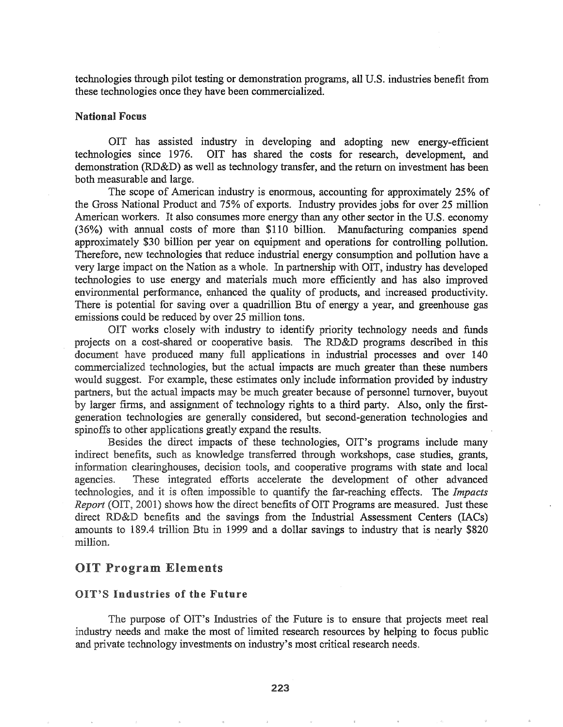technologies through pilot testing or demonstration programs, all U.S. industries benefit from these technologies once they have been commercialized.

# National Focus

OIT has assisted industry in developing and adopting new energy-efficient technologies since 1976. OIT has shared the costs for research, development, and demonstration (RD&D) as well as technology transfer, and the return on investment has been both measurable and large.

The scope of American industry is enormous, accounting for approximately 25% of the Gross National Product and 75% of exports. Industry provides jobs for over 25 million American workers. It also consumes more energy than any other sector in the U.S. economy (36%) with annual costs of more than \$110 billion. Manufacturing companies spend approximately \$30 billion per year on equipment and operations for controlling pollution. Therefore, new technologies that reduce industrial energy consumption and pollution have a very large impact on the Nation as a whole.. In partnership with OIT, industry has developed technologies to use energy and materials much more efficiently and has also improved environmental performance, enhanced the quality of products, and increased productivity. There is potential for saving over a quadrillion Btu of energy a year, and greenhouse gas emissions could be reduced by over 25 million tons.

OIT works closely with industry to identify priority technology needs and funds projects on a cost-shared or cooperative basis. The RD&D programs described in this document have produced many full applications in industrial processes and over 140 commercialized technologies, but the actual impacts are much greater than these numbers would suggest. For example, these estimates only include information provided by industry partners, but the actual impacts may be much greater because of personnel turnover, buyout by larger finns, and assignment of technology rights to a third party. Also, only the firstgeneration technologies are generally considered, but second-generation technologies and spinoffs to other applications greatly expand the results..

Besides the direct impacts of these technologies, OIT's programs include many indirect benefits, such as knowledge transferred through workshops, case studies, grants, information clearinghouses, decision tools, and cooperative programs with state and local agencies. These integrated efforts accelerate the development of other advanced technologies, and it is often impossible to quantify the far-reaching effects. The *Impacts* Report (OIT, 2001) shows how the direct benefits of OIT Programs are measured. Just these direct RD&D benefits and the savings from the Industrial Assessment Centers (IACs) amounts to 189.4 trillion Btu in 1999 and a dollar savings to industry that is nearly \$820 million.

## OIT Program Elements

# '8 Industries of the Future

The purpose of OIT's Industries of the Future is to ensure that projects meet real industry needs and make the most of limited research resources by helping to focus public and private technology investments on industry's most critical research needs.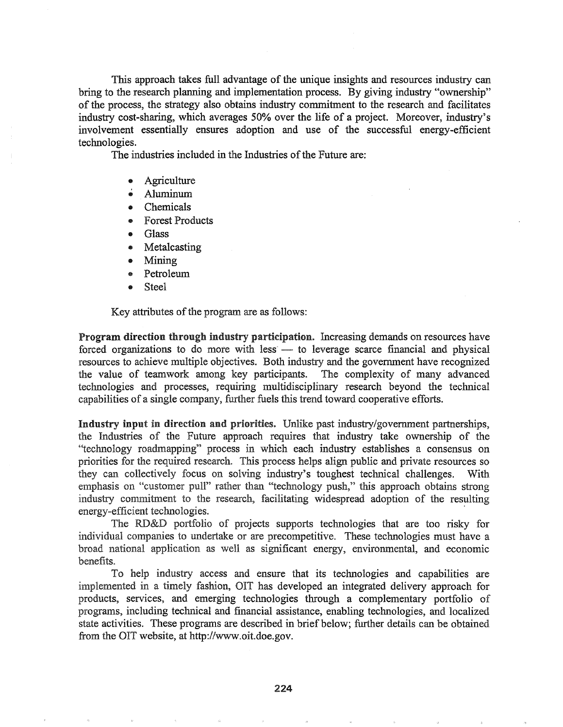This approach takes full advantage of the unique insights and resources industry can bring to the research planning and implementation process. By giving industry "ownership" of the process, the strategy also obtains industry commitment to the research and facilitates industry cost-sharing, which averages 50% over the life of a project. Moreover, industry's involvement essentially ensures adoption and use of the successful energy-efficient technologies.

The industries included in the Industries of the Future are:

- Agriculture
- .. Aluminum
- Chemicals
- .. Forest Products
- .. Glass
- Metalcasting
- Mining
- Petroleum
- Steel

Key attributes of the program are as follows:

Program direction through industry participation. Increasing demands on resources have forced organizations to do more with less - to leverage scarce financial and physical resources to achieve multiple objectives. Both industry and the government have recognized the value of teamwork among key participants. The complexity of many advanced technologies and processes, requiring multidisciplinary research beyond the technical capabilities of a single company, further fuels this trend toward cooperative efforts.

Industry input in direction and priorities. Unlike past industry/government partnerships, the Industries of the Future approach requires that industry take ownership of the "technology roadmapping" process in which each industry establishes a consensus on priorities for the required research. This process helps align public and private resources so they can collectively focus on solving industry's toughest technical challenges. With emphasis on "customer pull" rather than "technology push," this approach obtains strong industry commitment to the research, facilitating widespread adoption of the resulting energy-efficient technologies. .

The RD&D portfolio of projects supports technologies that are too risky for individual companies to undertake or are precompetitive. These technologies must have a broad application as well as significant energy, environmental, and economic benefits.

To help industry access and ensure that its technologies and capabilities are implemented in a timely fashion, OIT has developed an integrated delivery approach for products, services, and emerging technologies through a complementary portfolio of programs, including technical and financial assistance, enabling technologies, and localized state activities. These programs are described in brief below; further details can be obtained from the OIT website, at http://www.oit.doe.gov.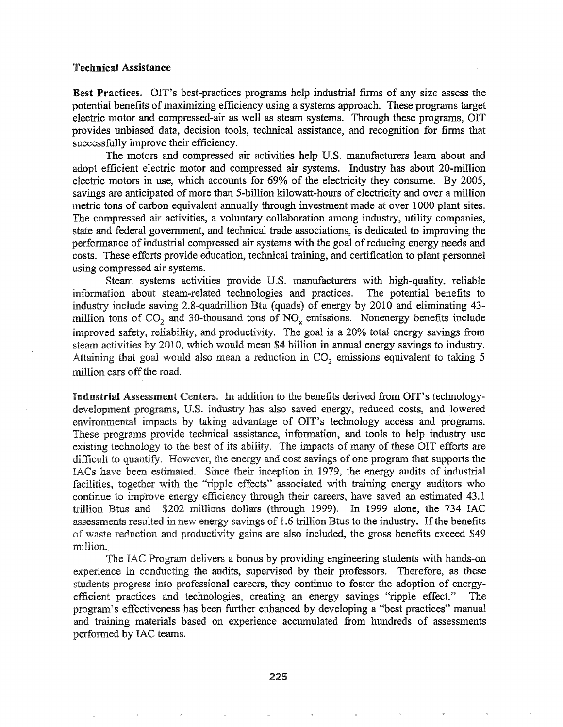#### Technical Assistance

Best Practices. OIT's best-practices programs help industrial firms of any size assess the potential benefits of maximizing efficiency using a systems approach. These programs target electric motor and compressed-air as well as steam systems. Through these programs, OIT provides unbiased data, decision tools, technical assistance, and recognition for finns that successfully improve their efficiency.

The motors and compressed air activities help U.S.. manufacturers learn about and adopt efficient electric motor and compressed air systems.. Industry has about 20-million electric motors in use, which accounts for 69% of the electricity they consume. By 2005, savings are anticipated of more than 5-billion kilowatt-hours of electricity and over a million metric tons of carbon equivalent annually through investment made at over 1000 plant sites. The compressed air activities, a voluntary collaboration among industry, utility companies, state and federal government, and technical trade associations, is dedicated to improving the performance of industrial compressed air systems with the goal of reducing energy needs and costs.. These efforts provide education, technical training, and certification to plant personnel using compressed air systems.

Steam systems activities provide U.S. manufacturers with high-quality, reliable infonnation about steam-related technologies and practices.. The potential benefits to industry include saving 2.8-quadrillion Btu (quads) of energy by 2010 and eliminating 43million tons of  $CO_2$  and 30-thousand tons of  $NO_x$  emissions. Nonenergy benefits include improved safety, reliability, and productivity. The goal is a 20% total energy savings from steam activities by 2010, which would mean \$4 billion in annual energy savings to industry. Attaining that goal would also mean a reduction in  $CO<sub>2</sub>$  emissions equivalent to taking 5 million cars off the road.

Industrial Assessment Centers. In addition to the benefits derived from OIT's technologydevelopment programs, U.S. industry has also saved energy, reduced costs, and lowered environmental impacts by taking advantage of OIT's technology access and programs. These programs provide technical assistance, information, and tools to help industry use existing technology to the best of its ability. The impacts of many of these OIT efforts are difficult to quantify. However, the energy and cost savings of one program that supports the IACs have been estimated. Since their inception in 1979, the energy audits of industrial facilities, together with the "ripple effects" associated with training energy auditors who continue to improve energy efficiency through their careers, have saved an estimated 43.1 trillion Btus and  $$202$  millions dollars (through 1999). In 1999 alone, the 734 IAC assessments resulted in new energy savings of 1.6 trillion Btus to the industry. If the benefits of waste reduction and productivity gains are also included, the gross benefits exceed \$49 million.

The IAC Program delivers a bonus by providing engineering students with hands-on experience in conducting the audits, supervised by their professors. Therefore, as these students progress into professional careers, they continue to foster the adoption of energyefficient practices and technologies, creating an energy savings "ripple effect." The program's effectiveness has been further enhanced by developing a "best practices" manual and training materials based on experience accumulated from hundreds of assessments performed by IAC teams.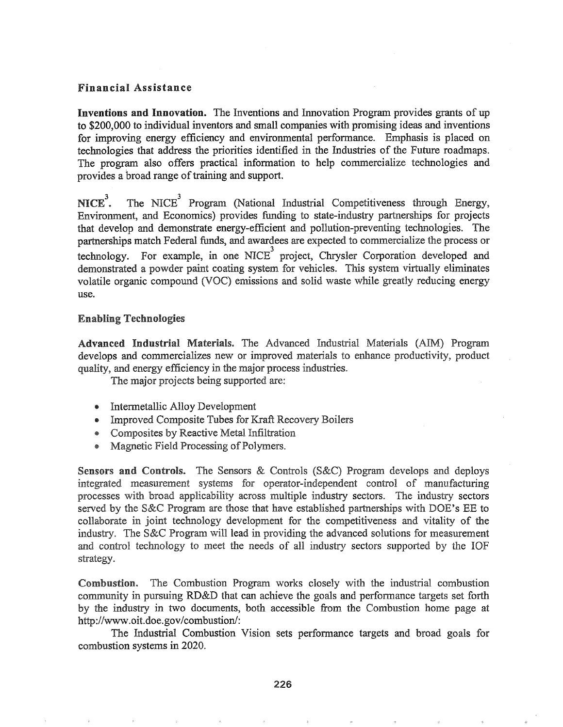# Financial Assistance

Inventions and Innovation. The Inventions and Innovation Program provides grants of up to \$200,000 to individual inventors and small companies with promising ideas and inventions for improving energy efficiency and environmental performance. Emphasis is placed on technologies that address the priorities identified in the Industries of the Future roadmaps. The program also offers practical infonnation to help commercialize technologies and provides a broad range of training and support.

 $NICE<sup>3</sup>$ . . The NICE<sup>3</sup> Program (National Industrial Competitiveness through Energy, Environment, and Economics) provides funding to state-industry partnerships for projects that develop and demonstrate energy-efficient and pollution-preventing technologies. The partnerships match Federal funds, and awardees are expected to commercialize the process or technology. For example, in one NICE<sup>3</sup> project, Chrysler Corporation developed and demonstrated a powder paint coating system for vehicles. This system virtually eliminates volatile organic compound (VOC) emissions and solid waste while greatly reducing energy use.

# **Enabling Technologies**

Advanced Industrial Materials. The Advanced Industrial Materials (AIM) Program develops and commercializes new or improved materials to enhance productivity, product quality, and energy efficiency in the major process industries.

The major projects being supported are:

- Intermetallic Alloy Development
- @ Improved Composite Tubes for Kraft Recovery Boilers
- Composites by Reactive Metal Infiltration
- Magnetic Field Processing of Polymers.

Sensors and Controls. The Sensors & Controls (S&C) Program develops and deploys integrated measurement systems for operator-independent control of manufacturing processes with broad applicability across multiple industry sectors. The industry sectors served by the S&C Program are those that have established partnerships with DOE's EE to collaborate in joint technology development for the competitiveness and vitality of the industry. The S&C Program will lead in providing the advanced solutions for measurement and control technology to meet the needs of all industry sectors supported by the IOF strategy.

The Combustion Program works closely with the industrial combustion Combustion. community in pursuing RD&D that can achieve the goals and performance targets set forth by the industry in two documents, both accessible from the Combustion home page at http://www.oit.doe.gov/combustion/:

The Industrial Combustion Vision sets perfonnance targets and broad goals for combustion systems in 2020.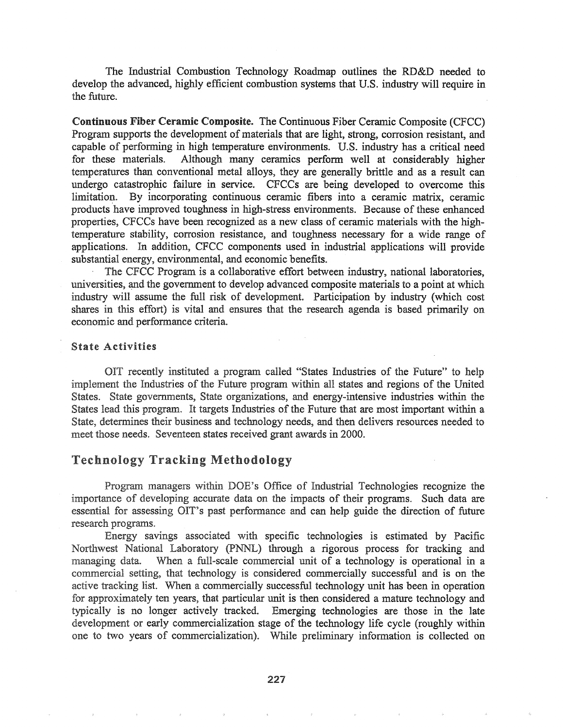The Industrial Combustion Technology Roadmap outlines the RD&D needed to develop the advanced, highly efficient combustion systems that U.S. industry will require in the future.

Continuous Fiber Ceramic Composite. The Continuous Fiber Ceramic Composite (CFCC) Program supports the development of materials that are light, strong, corrosion resistant, and capable of performing in high temperature environments. U.S. industry has a critical need for these materials. Although many ceramics perform well at considerably higher temperatures than conventional metal alloys, they are generally brittle and as a result can undergo catastrophic failure in service. CFCCs are being developed to overcome this limitation. By incorporating continuous ceramic -fibers into a ceramic matrix, ceramic products 'have improved toughness in high-stress environments. Because of these enhanced properties, CFCCs have been recognized as a new class of ceramic materials with the hightemperature stability, corrosion resistance, and toughness necessary for a wide range of applications. In addition, CFCC components used in industrial applications will provide substantial energy, environmental, and economic benefits..

The CFCC Program is a collaborative effort between industry, national laboratories, universities, and the government to develop advanced composite materials to a point at which industry will assume the full risk of development. Participation by industry (which cost shares in this effort) is vital and ensures that the research agenda is based primarily on economic and perfonnance criteria..

### **State Activities**

OIT recently instituted a program called "States Industries of the Future" to help implement the Industries of the Future program within all states and regions of the United States. State governments, State organizations, and energy-intensive industries within the States lead this program. It targets Industries of the Future that are most important within a State, detennines their business and technology needs, and then delivers resources needed to meet those needs. Seventeen states received grant awards in 2000.

# Technology Tracking Methodology

Program managers within DOE's Office of Industrial Technologies recognize the importance of developing accurate data on the impacts of their programs. Such data are essential for assessing OIT's past performance and can help guide the direction of future research programs.

Energy savings associated with specific technologies is estimated by Pacific Northwest National Laboratory (pNNL) through a rigorous process for tracking and managing data. When a full-scale commercial unit of a technology is operational in a commercial setting, that technology is considered commercially successful and is on the active tracking list. When a commercially successful technology unit has been in operation for approximately ten years, that particular unit is then considered a mature technology and typically is no longer actively tracked. Emerging technologies are those in the late development or early commercialization stage of the technology life cycle (roughly within one to two years of commercialization). While preliminary information is collected on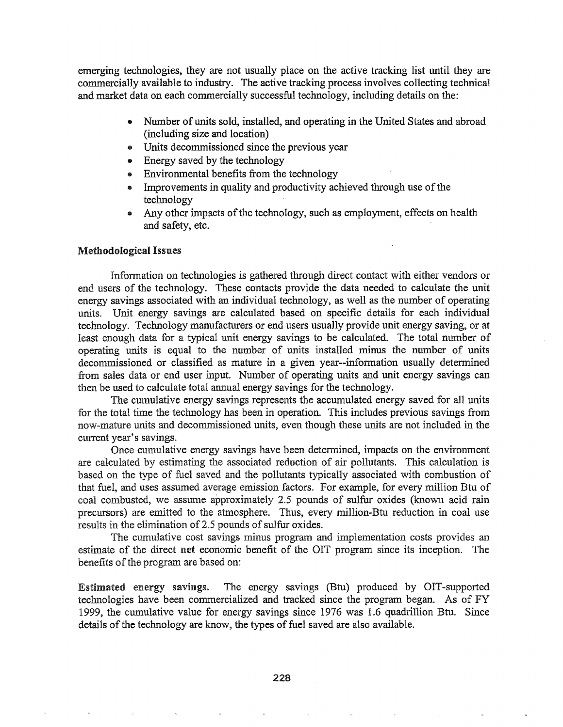emerging technologies, they are not usually place on the active tracking list until they are commercially available to industry. The active tracking process involves collecting technical and market data on each commercially successful technology, including details on the:

- Number of units sold, installed, and operating in the United States and abroad (including size and location)
- Units decommissioned since the previous year
- Energy saved by the technology
- $\bullet$  Environmental benefits from the technology
- Improvements in quality and productivity achieved through use of the technology
- $\bullet$  Any other impacts of the technology, such as employment, effects on health and safety, etc.

#### Methodological Issues

Information on technologies is gathered through direct contact with either vendors or end users of the technology. These contacts provide the data needed to calculate the unit energy savings associated with an individual technology, as well as the number of operating units. Unit energy savings are calculated based on specific details for each individual technology. Technology manufacturers or end users usually provide unit energy saving, or at least enough data for a typical unit energy savings to be calculated. The total number of operating units is equal to the number of units installed minus the number of units decommissioned or classified as mature in a given year--information usually determined from sales data or end user input. Number of operating units and unit energy savings can then be used to calculate total annual energy savings for the technology.

The cumulative energy savings represents the accumulated energy saved for all units for the total time the technology has been in operation. This includes previous savings from now-mature units and decommissioned units, even though these units are not included in the current year's savings.

Once cumulative energy savings have been determined, impacts on the environment are caJculated by estimating the associated reduction of air pollutants. This calculation is based on the type of fuel saved and the pollutants typically associated with combustion of that fuel, and uses assumed average emission factors. For example, for every million Btu of coal combusted, we assume approximately 2.5 pounds of sulfur oxides (known acid rain precursors) are emitted to the atmosphere. Thus, every million-Btu reduction in coal use results in the elimination of 2.5 pounds of sulfur oxides.

The cumulative cost savings minus program and implementation costs provides an estimate of the direct net economic benefit of the OIT program since its inception. The benefits of the program are based on:

Estimated energy savings~ The energy savings (Btu) produced by OIT-supported technologies have been commercialized and tracked since the program began. As of FY 1999, the cumulative value for energy savings since 1976 was 1.6 quadrillion Btu. Since details of the technology are know, the types of fuel saved are also available.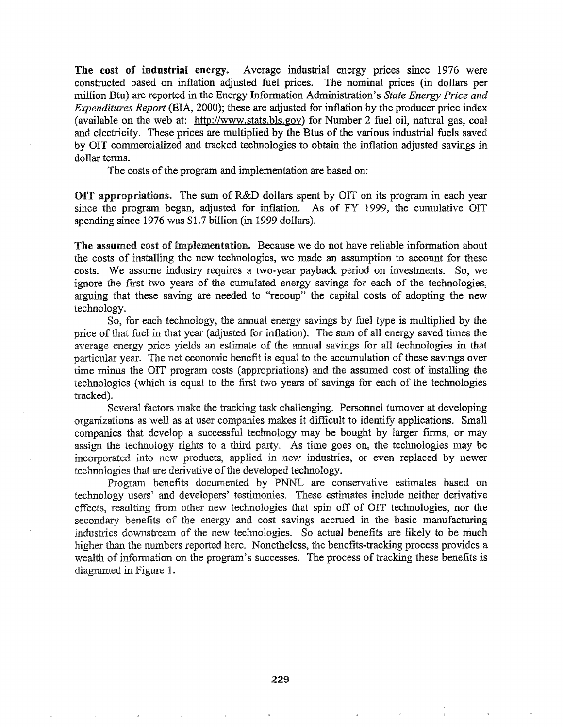The cost of industrial energy. Average industrial energy prices since 1976 were constructed based on inflation adjusted fuel prices". The nominal prices (in dollars per million Btu) are reported in the Energy Information Administration's *State Energy Price and Expenditures Report* (EIA, 2000); these are adjusted for inflation by the producer price index (available on the web at: http://www.stats.bls.gov) for Number 2 fuel oil, natural gas, coal and electricity. These prices are multiplied by the Btus of the various industrial fuels saved by OIT commercialized and tracked technologies to obtain the inflation adjusted savings in dollar terms.

The costs of the program and implementation are based on:

OIT appropriations. The sum of R&D dollars spent by OIT on its program in each year since the program began, adjusted for inflation. As of FY 1999, the cumulative OIT spending since 1976 was \$1.7 billion (in 1999 dollars).

The assumed cost of implementation. Because we do not have reliable information about the costs of installing the new technologies, we made an assumption to account for these costs. We assume industry requires a two-year payback period on investments. So, we ignore the first two years of the cumulated energy savings for each of the technologies, arguing that these saving are needed to "recoup" the capital costs of adopting the new technology.

So, for each technology, the annual energy savings by fuel type is multiplied by the price of that fuel in that year (adjusted for inflation). The sum of all energy saved times the average energy price yields an estimate of the annual savings for all technologies in that particular year. The net economic benefit is equal to the accumulation of these savings over time minus the OIT program costs (appropriations) and the assumed cost of installing the technologies (which is equal to the first two years of savings for each of the technologies tracked).

Several factors make the tracking task challenging. Personnel turnover at developing organizations as well as at user companies makes it difficult to identify applications~ Small companies that develop a successful technology may be bought by larger frrms, or may assign the technology rights to a third party. As time goes on, the technologies may be incorporated into new products, applied in new industries, or even replaced by newer technologies that are derivative of the developed technology.

Program benefits documented by PNNL are conservative estimates based on technology users' and developers' testimonies. These estimates include neither derivative effects, resulting from other new technologies that spin off of OIT technologies, nor the secondary benefits of the energy and cost savings accrued in the basic manufacturing industries downstream of the new technologies. So actual benefits are likely to be much higher than the numbers reported here. Nonetheless, the benefits-tracking process provides a wealth of information on the program's successes. The process of tracking these benefits is diagramed in Figure 1.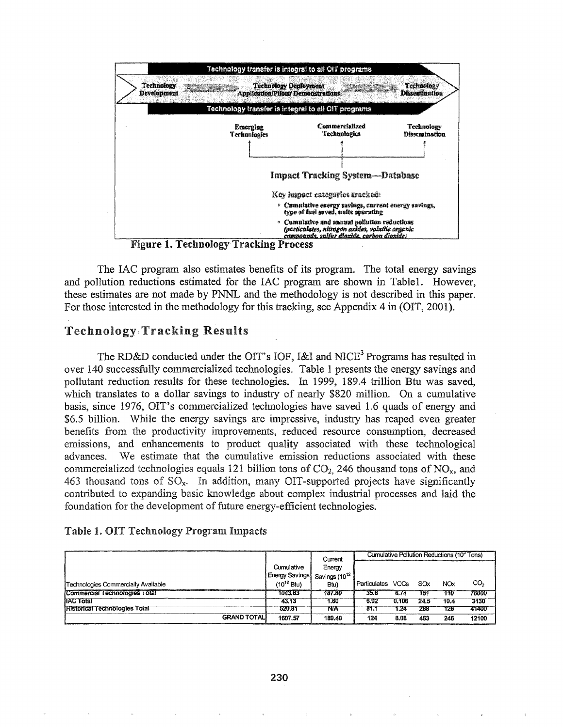

The IAC program also estimates benefits of its program. The total energy savings and pollution reductions estimated for the IAC program are shown in Table1. However, these estimates are not made by PNNL and the methodology is not described in this paper. For those interested in the methodology for this tracking, see Appendix 4 in (OIT, 2001).

# **Technology: Tracking Results**

The RD&D conducted under the OIT's IOF, I&I and NICE<sup>3</sup> Programs has resulted in over 140 successfully commercialized technologies. Table 1 presents the energy savings and pollutant reduction results for these technologies. In 1999, 189.4 trillion Btu was saved, which translates to a dollar savings to industry of nearly \$820 million. On a cumulative basis, since 1976, OIT's commercialized technologies have saved 1.6 quads of energy and \$6.5 billion. While the energy savings are impressive, industry has reaped even greater benefits from the productivity improvements, reduced resource consumption, decreased emissions, and enhancements to product quality associated with these technological We estimate that the cumulative emission reductions associated with these advances. commercialized technologies equals 121 billion tons of  $CO<sub>2</sub>$ , 246 thousand tons of  $NO<sub>x</sub>$ , and 463 thousand tons of SO<sub>x</sub>. In addition, many OIT-supported projects have significantly contributed to expanding basic knowledge about complex industrial processes and laid the foundation for the development of future energy-efficient technologies.

|  |  |  |  |  | Table 1. OIT Technology Program Impacts |  |
|--|--|--|--|--|-----------------------------------------|--|
|--|--|--|--|--|-----------------------------------------|--|

|                                      |                                          | Current | Cumulative Pollution Reductions (10 <sup>3</sup> Tons) |       |      |            |                 |
|--------------------------------------|------------------------------------------|---------|--------------------------------------------------------|-------|------|------------|-----------------|
|                                      | Cumulative                               | Energy  |                                                        |       |      |            |                 |
|                                      | Energy Savings Savings (10 <sup>12</sup> |         |                                                        |       |      |            |                 |
| Technologies Commercially Available  | $(10^{12} Btu)$                          | Btu)    | Particulates VOCs                                      |       | SOx  | <b>NOx</b> | CO <sub>2</sub> |
| Commercial Technologies Total        | 1043.63                                  | 187.80  | 35.6                                                   | 6.74  | 151  | 776        | 76000           |
| <b>IIAC Total</b>                    | 43.13                                    | 1.60    | 6.92                                                   | 0.106 | 24.5 | 10.4       | 3130            |
| <b>Historical Technologies Total</b> | 520.81                                   | NA      | 81.1                                                   | 1.24  | 289  | 126        | 41400           |
| <b>GRAND TOTALI</b>                  | 1607.57                                  | 189.40  | 124                                                    | 8.08  | 463  | 246        | 12100           |